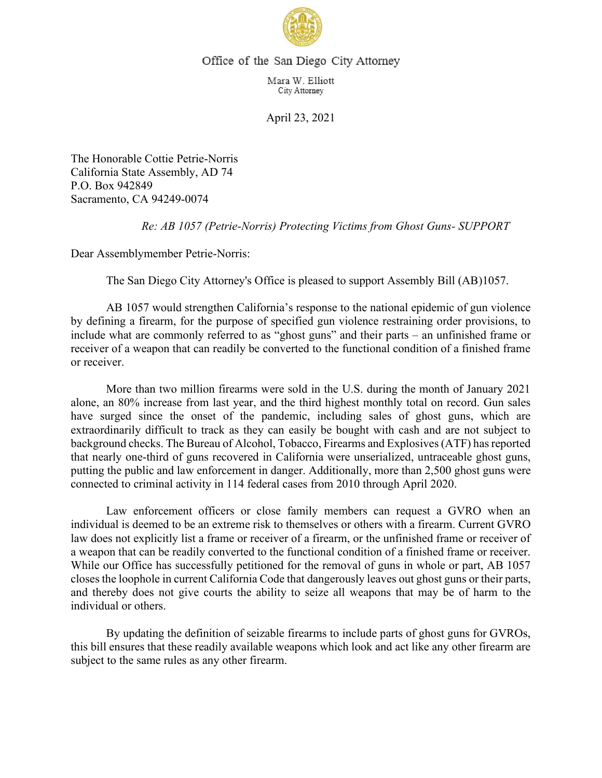

## Office of the San Diego City Attorney

Mara W. Elliott City Attorney

April 23, 2021

The Honorable Cottie Petrie-Norris California State Assembly, AD 74 P.O. Box 942849 Sacramento, CA 94249-0074

*Re: AB 1057 (Petrie-Norris) Protecting Victims from Ghost Guns- SUPPORT*

Dear Assemblymember Petrie-Norris:

The San Diego City Attorney's Office is pleased to support Assembly Bill (AB)1057.

AB 1057 would strengthen California's response to the national epidemic of gun violence by defining a firearm, for the purpose of specified gun violence restraining order provisions, to include what are commonly referred to as "ghost guns" and their parts – an unfinished frame or receiver of a weapon that can readily be converted to the functional condition of a finished frame or receiver.

More than two million firearms were sold in the U.S. during the month of January 2021 alone, an 80% increase from last year, and the third highest monthly total on record. Gun sales have surged since the onset of the pandemic, including sales of ghost guns, which are extraordinarily difficult to track as they can easily be bought with cash and are not subject to background checks. The Bureau of Alcohol, Tobacco, Firearms and Explosives (ATF) has reported that nearly one-third of guns recovered in California were unserialized, untraceable ghost guns, putting the public and law enforcement in danger. Additionally, more than 2,500 ghost guns were connected to criminal activity in 114 federal cases from 2010 through April 2020.

Law enforcement officers or close family members can request a GVRO when an individual is deemed to be an extreme risk to themselves or others with a firearm. Current GVRO law does not explicitly list a frame or receiver of a firearm, or the unfinished frame or receiver of a weapon that can be readily converted to the functional condition of a finished frame or receiver. While our Office has successfully petitioned for the removal of guns in whole or part, AB 1057 closes the loophole in current California Code that dangerously leaves out ghost guns or their parts, and thereby does not give courts the ability to seize all weapons that may be of harm to the individual or others.

By updating the definition of seizable firearms to include parts of ghost guns for GVROs, this bill ensures that these readily available weapons which look and act like any other firearm are subject to the same rules as any other firearm.